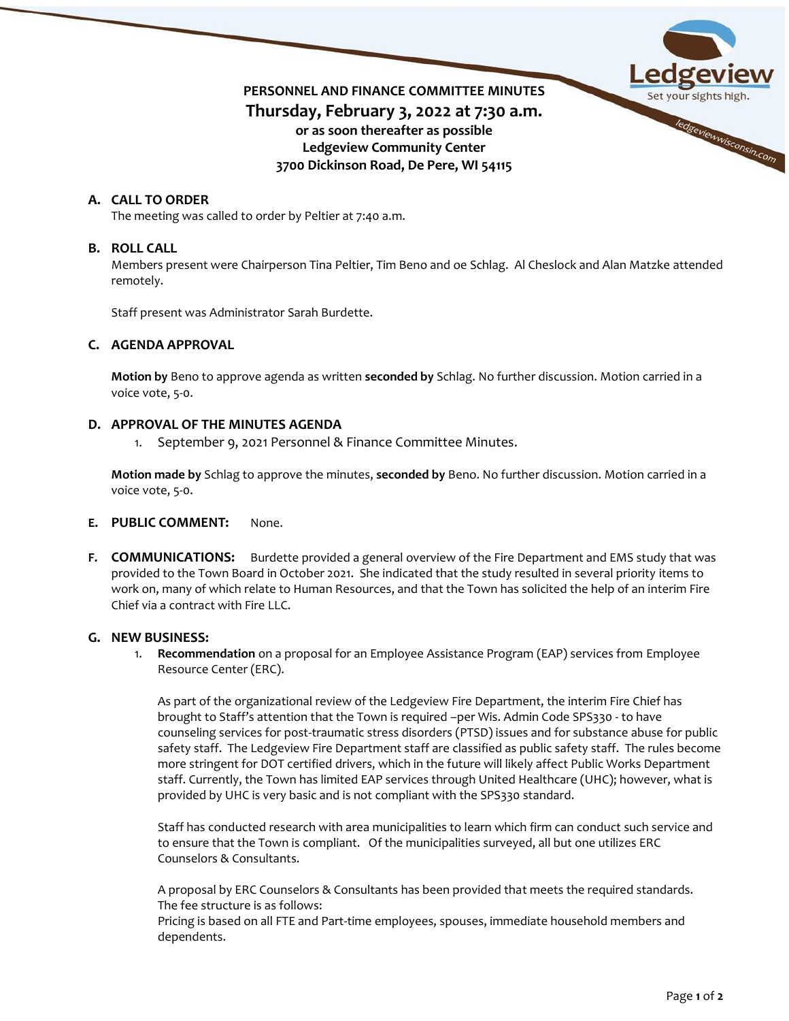

# **A. CALL TO ORDER**

The meeting was called to order by Peltier at 7:40 a.m.

### **B. ROLL CALL**

Members present were Chairperson Tina Peltier, Tim Beno and oe Schlag. Al Cheslock and Alan Matzke attended remotely.

Staff present was Administrator Sarah Burdette.

## **C. AGENDA APPROVAL**

**Motion by** Beno to approve agenda as written **seconded by** Schlag. No further discussion. Motion carried in a voice vote, 5-0.

## **D. APPROVAL OF THE MINUTES AGENDA**

September 9, 2021 Personnel & Finance Committee Minutes.

**Motion made by** Schlag to approve the minutes, **seconded by** Beno. No further discussion. Motion carried in a voice vote, 5-0.

#### **E. PUBLIC COMMENT:** None.

**F. COMMUNICATIONS:** Burdette provided a general overview of the Fire Department and EMS study that was provided to the Town Board in October 2021. She indicated that the study resulted in several priority items to work on, many of which relate to Human Resources, and that the Town has solicited the help of an interim Fire Chief via a contract with Fire LLC.

### **G. NEW BUSINESS:**

1. **Recommendation** on a proposal for an Employee Assistance Program (EAP) services from Employee Resource Center (ERC).

As part of the organizational review of the Ledgeview Fire Department, the interim Fire Chief has brought to Staff's attention that the Town is required –per Wis. Admin Code SPS330 - to have counseling services for post-traumatic stress disorders (PTSD) issues and for substance abuse for public safety staff. The Ledgeview Fire Department staff are classified as public safety staff. The rules become more stringent for DOT certified drivers, which in the future will likely affect Public Works Department staff. Currently, the Town has limited EAP services through United Healthcare (UHC); however, what is provided by UHC is very basic and is not compliant with the SPS330 standard.

Staff has conducted research with area municipalities to learn which firm can conduct such service and to ensure that the Town is compliant. Of the municipalities surveyed, all but one utilizes ERC Counselors & Consultants.

A proposal by ERC Counselors & Consultants has been provided that meets the required standards. The fee structure is as follows:

Pricing is based on all FTE and Part-time employees, spouses, immediate household members and dependents.